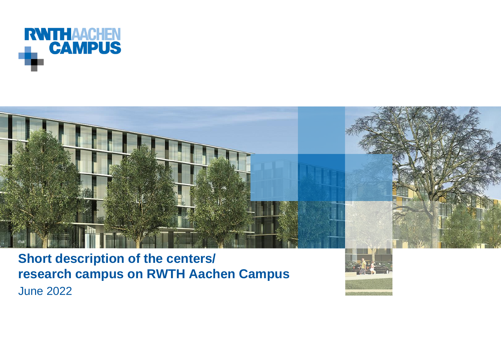



**Short description of the centers/ research campus on RWTH Aachen Campus** June 2022

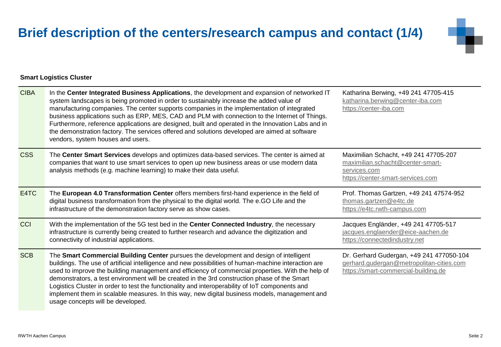|            | Furthermore, reference applications are designed, built and operated in the Innovation Labs and in<br>the demonstration factory. The services offered and solutions developed are aimed at software<br>vendors, system houses and users.                                                                                                                                                                                                                                                               |                                                                                                                                |
|------------|--------------------------------------------------------------------------------------------------------------------------------------------------------------------------------------------------------------------------------------------------------------------------------------------------------------------------------------------------------------------------------------------------------------------------------------------------------------------------------------------------------|--------------------------------------------------------------------------------------------------------------------------------|
| <b>CSS</b> | The Center Smart Services develops and optimizes data-based services. The center is aimed at<br>companies that want to use smart services to open up new business areas or use modern data<br>analysis methods (e.g. machine learning) to make their data useful.                                                                                                                                                                                                                                      | Maximilian Schacht, +49 241 47705-207<br>maximilian.schacht@center-smart-<br>services.com<br>https://center-smart-services.com |
| E4TC       | The European 4.0 Transformation Center offers members first-hand experience in the field of<br>digital business transformation from the physical to the digital world. The e.GO Life and the<br>infrastructure of the demonstration factory serve as show cases.                                                                                                                                                                                                                                       | Prof. Thomas Gartzen, +49 241 47574-952<br>thomas.gartzen@e4tc.de<br>https://e4tc.rwth-campus.com                              |
| CCI        | With the implementation of the 5G test bed in the <b>Center Connected Industry</b> , the necessary<br>infrastructure is currently being created to further research and advance the digitization and<br>connectivity of industrial applications.                                                                                                                                                                                                                                                       | Jacques Engländer, +49 241 47705-517<br>jacques.englaender@eice-aachen.de<br>https://connectedindustry.net                     |
| <b>SCB</b> | The Smart Commercial Building Center pursues the development and design of intelligent<br>buildings. The use of artificial intelligence and new possibilities of human-machine interaction are<br>used to improve the building management and efficiency of commercial properties. With the help of<br>demonstrators, a test environment will be created in the 3rd construction phase of the Smart<br>Logistics Cluster in order to test the functionality and interoperability of IoT components and | Dr. Gerhard Gudergan, +49 241 477050-104<br>gerhard.gudergan@metropolitan-cities.com<br>https://smart-commercial-building.de   |

## **Brief description of the centers/research campus and contact (1/4)**

CIBA In the **Center Integrated Business Applications**, the development and expansion of networked IT system landscapes is being promoted in order to sustainably increase the added value of manufacturing companies. The center supports companies in the implementation of integrated business applications such as ERP, MES, CAD and PLM with connection to the Internet of Things.

implement them in scalable measures. In this way, new digital business models, management and

usage concepts will be developed.

**Smart Logistics Cluster**

Katharina Berwing, +49 241 47705-415 [katharina.berwing@center-iba.com](mailto:katharina.berwing@center-iba.com)

[https://center-iba.com](https://center-iba.com/)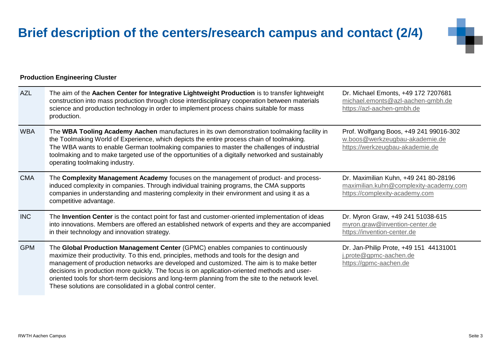#### RWTH Aachen Campus Seite 3 Seite 3

# **Brief description of the centers/research campus and contact (2/4)**

#### **Production Engineering Cluster**

| <b>AZL</b> | The aim of the Aachen Center for Integrative Lightweight Production is to transfer lightweight<br>construction into mass production through close interdisciplinary cooperation between materials<br>science and production technology in order to implement process chains suitable for mass<br>production.                                                                                                                                                                                                                                      | Dr. Michael Emonts, +49 172 7207681<br>michael.emonts@azl-aachen-gmbh.de<br>https://azl-aachen-gmbh.de            |
|------------|---------------------------------------------------------------------------------------------------------------------------------------------------------------------------------------------------------------------------------------------------------------------------------------------------------------------------------------------------------------------------------------------------------------------------------------------------------------------------------------------------------------------------------------------------|-------------------------------------------------------------------------------------------------------------------|
| <b>WBA</b> | The WBA Tooling Academy Aachen manufactures in its own demonstration toolmaking facility in<br>the Toolmaking World of Experience, which depicts the entire process chain of toolmaking.<br>The WBA wants to enable German toolmaking companies to master the challenges of industrial<br>toolmaking and to make targeted use of the opportunities of a digitally networked and sustainably<br>operating toolmaking industry.                                                                                                                     | Prof. Wolfgang Boos, +49 241 99016-302<br>w.boos@werkzeugbau-akademie.de<br>https://werkzeugbau-akademie.de       |
| <b>CMA</b> | The Complexity Management Academy focuses on the management of product- and process-<br>induced complexity in companies. Through individual training programs, the CMA supports<br>companies in understanding and mastering complexity in their environment and using it as a<br>competitive advantage.                                                                                                                                                                                                                                           | Dr. Maximilian Kuhn, +49 241 80-28196<br>maximilian.kuhn@complexity-academy.com<br>https://complexity-academy.com |
| <b>INC</b> | The Invention Center is the contact point for fast and customer-oriented implementation of ideas<br>into innovations. Members are offered an established network of experts and they are accompanied<br>in their technology and innovation strategy.                                                                                                                                                                                                                                                                                              | Dr. Myron Graw, +49 241 51038-615<br>myron.graw@invention-center.de<br>https://invention-center.de                |
| <b>GPM</b> | The Global Production Management Center (GPMC) enables companies to continuously<br>maximize their productivity. To this end, principles, methods and tools for the design and<br>management of production networks are developed and customized. The aim is to make better<br>decisions in production more quickly. The focus is on application-oriented methods and user-<br>oriented tools for short-term decisions and long-term planning from the site to the network level.<br>These solutions are consolidated in a global control center. | Dr. Jan-Philip Prote, +49 151 44131001<br>j.prote@gpmc-aachen.de<br>https://gpmc-aachen.de                        |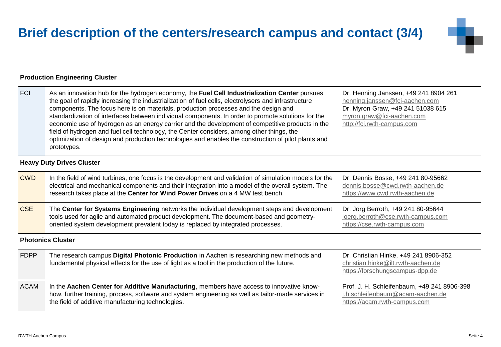#### RWTH Aachen Campus Seite 4

# **Brief description of the centers/research campus and contact (3/4)**

#### **Production Engineering Cluster**

| <b>FCI</b> | As an innovation hub for the hydrogen economy, the Fuel Cell Industrialization Center pursues<br>the goal of rapidly increasing the industrialization of fuel cells, electrolysers and infrastructure<br>components. The focus here is on materials, production processes and the design and<br>standardization of interfaces between individual components. In order to promote solutions for the<br>economic use of hydrogen as an energy carrier and the development of competitive products in the<br>field of hydrogen and fuel cell technology, the Center considers, among other things, the | Dr. Henning Janssen, +49 241 8904 261<br>henning.janssen@fci-aachen.com<br>Dr. Myron Graw, +49 241 51038 615<br>myron.graw@fci-aachen.com<br>http://fci.rwth-campus.com |
|------------|-----------------------------------------------------------------------------------------------------------------------------------------------------------------------------------------------------------------------------------------------------------------------------------------------------------------------------------------------------------------------------------------------------------------------------------------------------------------------------------------------------------------------------------------------------------------------------------------------------|-------------------------------------------------------------------------------------------------------------------------------------------------------------------------|
|            | optimization of design and production technologies and enables the construction of pilot plants and<br>prototypes.                                                                                                                                                                                                                                                                                                                                                                                                                                                                                  |                                                                                                                                                                         |

## **Heavy Duty Drives Cluster**

| <b>CWD</b>               | In the field of wind turbines, one focus is the development and validation of simulation models for the<br>electrical and mechanical components and their integration into a model of the overall system. The<br>research takes place at the Center for Wind Power Drives on a 4 MW test bench. | Dr. Dennis Bosse, +49 241 80-95662<br>dennis.bosse@cwd.rwth-aachen.de<br>https://www.cwd.rwth-aachen.de         |
|--------------------------|-------------------------------------------------------------------------------------------------------------------------------------------------------------------------------------------------------------------------------------------------------------------------------------------------|-----------------------------------------------------------------------------------------------------------------|
| <b>CSE</b>               | The Center for Systems Engineering networks the individual development steps and development<br>tools used for agile and automated product development. The document-based and geometry-<br>oriented system development prevalent today is replaced by integrated processes.                    | Dr. Jörg Berroth, +49 241 80-95644<br>joerg.berroth@cse.rwth-campus.com<br>https://cse.rwth-campus.com          |
| <b>Photonics Cluster</b> |                                                                                                                                                                                                                                                                                                 |                                                                                                                 |
| <b>FDPP</b>              | The research campus Digital Photonic Production in Aachen is researching new methods and<br>fundamental physical effects for the use of light as a tool in the production of the future.                                                                                                        | Dr. Christian Hinke, +49 241 8906-352<br>christian.hinke@ilt.rwth-aachen.de<br>https://forschungscampus-dpp.de  |
| <b>ACAM</b>              | In the Aachen Center for Additive Manufacturing, members have access to innovative know-<br>how, further training, process, software and system engineering as well as tailor-made services in<br>the field of additive manufacturing technologies.                                             | Prof. J. H. Schleifenbaum, +49 241 8906-398<br>j.h.schleifenbaum@acam-aachen.de<br>https://acam.rwth-campus.com |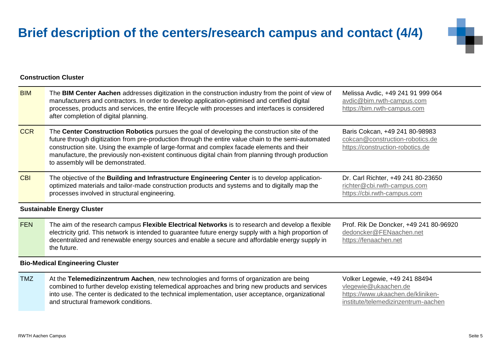and structural framework conditions.

## **Brief description of the centers/research campus and contact (4/4)**

**Construction Cluster**

| <b>BIM</b> | The BIM Center Aachen addresses digitization in the construction industry from the point of view of<br>manufacturers and contractors. In order to develop application-optimised and certified digital<br>processes, products and services, the entire lifecycle with processes and interfaces is considered<br>after completion of digital planning.                                                                                          | Melissa Avdic, +49 241 91 999 064<br>avdic@bim.rwth-campus.com<br>https://bim.rwth-campus.com         |
|------------|-----------------------------------------------------------------------------------------------------------------------------------------------------------------------------------------------------------------------------------------------------------------------------------------------------------------------------------------------------------------------------------------------------------------------------------------------|-------------------------------------------------------------------------------------------------------|
| <b>CCR</b> | The Center Construction Robotics pursues the goal of developing the construction site of the<br>future through digitization from pre-production through the entire value chain to the semi-automated<br>construction site. Using the example of large-format and complex facade elements and their<br>manufacture, the previously non-existent continuous digital chain from planning through production<br>to assembly will be demonstrated. | Baris Cokcan, +49 241 80-98983<br>cokcan@construction-robotics.de<br>https://construction-robotics.de |
| <b>CBI</b> | The objective of the Building and Infrastructure Engineering Center is to develop application-<br>optimized materials and tailor-made construction products and systems and to digitally map the<br>processes involved in structural engineering.                                                                                                                                                                                             | Dr. Carl Richter, +49 241 80-23650<br>richter@cbi.rwth-campus.com<br>https://cbi.rwth-campus.com      |
|            | <b>Sustainable Energy Cluster</b>                                                                                                                                                                                                                                                                                                                                                                                                             |                                                                                                       |
| <b>FEN</b> | The aim of the research campus Flexible Electrical Networks is to research and develop a flexible<br>electricity grid. This network is intended to guarantee future energy supply with a high proportion of<br>decentralized and renewable energy sources and enable a secure and affordable energy supply in<br>the future.                                                                                                                  | Prof. Rik De Doncker, +49 241 80-96920<br>dedoncker@FENaachen.net<br>https://fenaachen.net            |
|            | <b>Bio-Medical Engineering Cluster</b>                                                                                                                                                                                                                                                                                                                                                                                                        |                                                                                                       |
| <b>TMZ</b> | At the Telemedizinzentrum Aachen, new technologies and forms of organization are being<br>combined to further develop existing telemedical approaches and bring new products and services<br>into use. The center is dedicated to the technical implementation, user acceptance, organizational                                                                                                                                               | Volker Legewie, +49 241 88494<br>vlegewie@ukaachen.de<br>https://www.ukaachen.de/kliniken-            |

https://www.ukaachen.de/kliniken[institute/telemedizinzentrum-aachen](https://www.ukaachen.de/kliniken-institute/telemedizinzentrum-aachen/)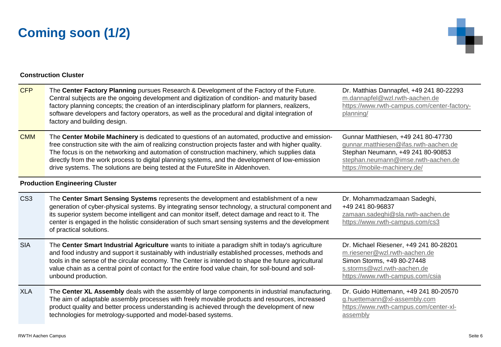## **Coming soon (1/2)**



#### **Construction Cluster**

| <b>CFP</b>                            | The Center Factory Planning pursues Research & Development of the Factory of the Future.<br>Central subjects are the ongoing development and digitization of condition- and maturity based<br>factory planning concepts; the creation of an interdisciplinary platform for planners, realizers,<br>software developers and factory operators, as well as the procedural and digital integration of<br>factory and building design.                                                             | Dr. Matthias Dannapfel, +49 241 80-22293<br>m.dannapfel@wzl.rwth-aachen.de<br>https://www.rwth-campus.com/center-factory-<br>planning/                                                   |
|---------------------------------------|------------------------------------------------------------------------------------------------------------------------------------------------------------------------------------------------------------------------------------------------------------------------------------------------------------------------------------------------------------------------------------------------------------------------------------------------------------------------------------------------|------------------------------------------------------------------------------------------------------------------------------------------------------------------------------------------|
| <b>CMM</b>                            | The Center Mobile Machinery is dedicated to questions of an automated, productive and emission-<br>free construction site with the aim of realizing construction projects faster and with higher quality.<br>The focus is on the networking and automation of construction machinery, which supplies data<br>directly from the work process to digital planning systems, and the development of low-emission<br>drive systems. The solutions are being tested at the FutureSite in Aldenhoven. | Gunnar Matthiesen, +49 241 80-47730<br>gunnar.matthiesen@ifas.rwth-aachen.de<br>Stephan Neumann, +49 241 80-90853<br>stephan.neumann@imse.rwth-aachen.de<br>https://mobile-machinery.de/ |
| <b>Production Engineering Cluster</b> |                                                                                                                                                                                                                                                                                                                                                                                                                                                                                                |                                                                                                                                                                                          |
| CS <sub>3</sub>                       | The Center Smart Sensing Systems represents the development and establishment of a new<br>generation of cyber-physical systems. By integrating sensor technology, a structural component and<br>its superior system become intelligent and can monitor itself, detect damage and react to it. The<br>center is engaged in the holistic consideration of such smart sensing systems and the development<br>of practical solutions.                                                              | Dr. Mohammadzamaan Sadeghi,<br>+49 241 80-96837<br>zamaan.sadeghi@sla.rwth-aachen.de<br>https://www.rwth-campus.com/cs3                                                                  |
| <b>SIA</b>                            | The Center Smart Industrial Agriculture wants to initiate a paradigm shift in today's agriculture<br>and food industry and support it sustainably with industrially established processes, methods and<br>tools in the sense of the circular economy. The Center is intended to shape the future agricultural<br>value chain as a central point of contact for the entire food value chain, for soil-bound and soil-<br>unbound production.                                                    | Dr. Michael Riesener, +49 241 80-28201<br>m.riesener@wzl.rwth-aachen.de<br>Simon Storms, +49 80-27448<br>s.storms@wzl.rwth-aachen.de<br>https://www.rwth-campus.com/csia                 |
| <b>XLA</b>                            | The Center XL Assembly deals with the assembly of large components in industrial manufacturing.<br>The aim of adaptable assembly processes with freely movable products and resources, increased<br>product quality and better process understanding is achieved through the development of new<br>technologies for metrology-supported and model-based systems.                                                                                                                               | Dr. Guido Hüttemann, +49 241 80-20570<br>g.huettemann@xl-assembly.com<br>https://www.rwth-campus.com/center-xl-<br>assembly                                                              |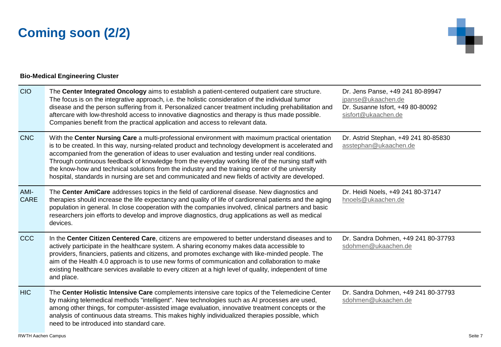## **Coming soon (2/2)**



### **Bio-Medical Engineering Cluster**

| <b>CIO</b>          | The Center Integrated Oncology aims to establish a patient-centered outpatient care structure.<br>The focus is on the integrative approach, i.e. the holistic consideration of the individual tumor<br>disease and the person suffering from it. Personalized cancer treatment including prehabilitation and<br>aftercare with low-threshold access to innovative diagnostics and therapy is thus made possible.<br>Companies benefit from the practical application and access to relevant data.                                                                                                                        | Dr. Jens Panse, +49 241 80-89947<br>jpanse@ukaachen.de<br>Dr. Susanne Isfort, +49 80-80092<br>sisfort@ukaachen.de |
|---------------------|--------------------------------------------------------------------------------------------------------------------------------------------------------------------------------------------------------------------------------------------------------------------------------------------------------------------------------------------------------------------------------------------------------------------------------------------------------------------------------------------------------------------------------------------------------------------------------------------------------------------------|-------------------------------------------------------------------------------------------------------------------|
| <b>CNC</b>          | With the Center Nursing Care a multi-professional environment with maximum practical orientation<br>is to be created. In this way, nursing-related product and technology development is accelerated and<br>accompanied from the generation of ideas to user evaluation and testing under real conditions.<br>Through continuous feedback of knowledge from the everyday working life of the nursing staff with<br>the know-how and technical solutions from the industry and the training center of the university<br>hospital, standards in nursing are set and communicated and new fields of activity are developed. | Dr. Astrid Stephan, +49 241 80-85830<br>asstephan@ukaachen.de                                                     |
| AMI-<br><b>CARE</b> | The Center AmiCare addresses topics in the field of cardiorenal disease. New diagnostics and<br>therapies should increase the life expectancy and quality of life of cardiorenal patients and the aging<br>population in general. In close cooperation with the companies involved, clinical partners and basic<br>researchers join efforts to develop and improve diagnostics, drug applications as well as medical<br>devices.                                                                                                                                                                                         | Dr. Heidi Noels, +49 241 80-37147<br>hnoels@ukaachen.de                                                           |
| <b>CCC</b>          | In the Center Citizen Centered Care, citizens are empowered to better understand diseases and to<br>actively participate in the healthcare system. A sharing economy makes data accessible to<br>providers, financiers, patients and citizens, and promotes exchange with like-minded people. The<br>aim of the Health 4.0 approach is to use new forms of communication and collaboration to make<br>existing healthcare services available to every citizen at a high level of quality, independent of time<br>and place.                                                                                              | Dr. Sandra Dohmen, +49 241 80-37793<br>sdohmen@ukaachen.de                                                        |
| <b>HIC</b>          | The Center Holistic Intensive Care complements intensive care topics of the Telemedicine Center<br>by making telemedical methods "intelligent". New technologies such as AI processes are used,<br>among other things, for computer-assisted image evaluation, innovative treatment concepts or the<br>analysis of continuous data streams. This makes highly individualized therapies possible, which<br>need to be introduced into standard care.                                                                                                                                                                      | Dr. Sandra Dohmen, +49 241 80-37793<br>sdohmen@ukaachen.de                                                        |